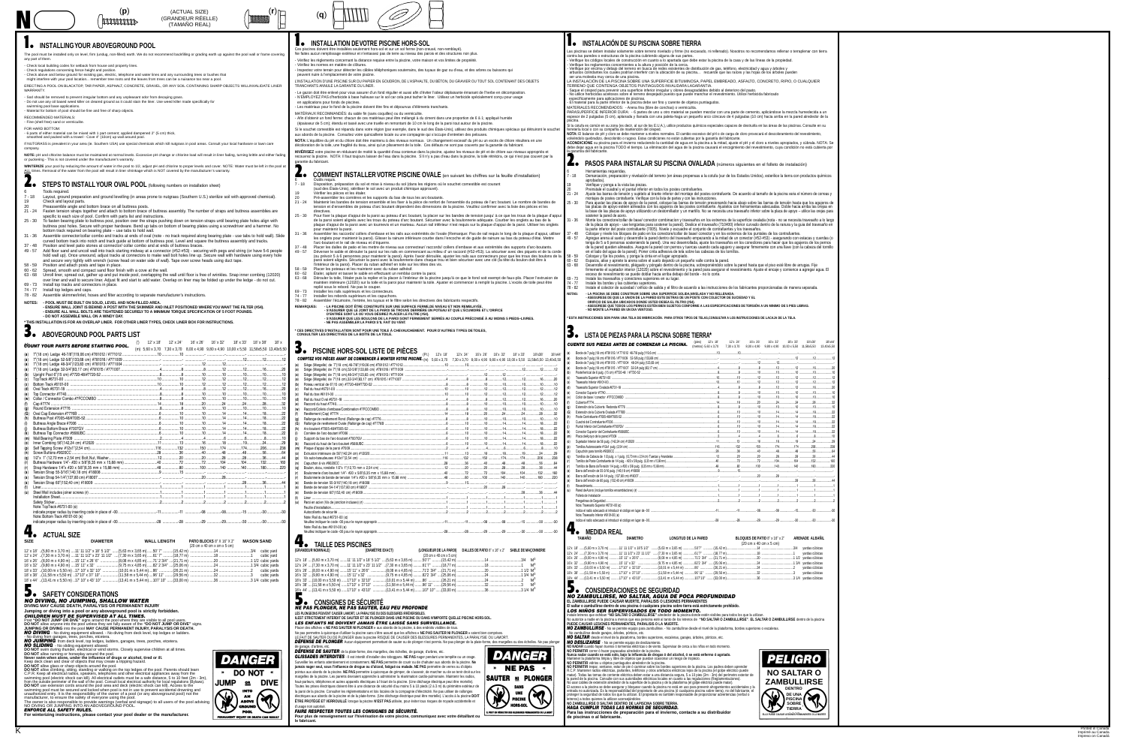Assembler les raccords/ collers d'embase et les rails aux extrémités de l'ovale (Remarque: Pas de rail requis le long de la plaque d'appui, utiliser les onglets pour maintenir la paroi). Glisser la rainure inférieure courbe dans l'encoche et de guide de rainure au bas du poteau d'étai. Mettre

| <b>ENFORCE ALL SAFETY RULES.</b>                                                   |  |  |
|------------------------------------------------------------------------------------|--|--|
| For winterizing instructions, please contact your pool dealer or the manufacturer. |  |  |

Las piscinas se deben instalar solamente sobre terreno nivelado y firme (no excavado, ni rellenado). Nosotros no recomendamos rellenar o terraplenar con tierra contra las paredes o estructuras de la piscina cubriendo alguna de sus partes. Verifique los códigos locales de construcción en cuanto a lo apartada que debe estar la piscina de la casa y de las líneas de la propiedad

**NOTA:** El balance de pH y cloro se debe mantener a niveles normales. El cambio excesivo del pH o de carga de cloro provocará el descoloramiento del revestimiento, volviéndolo quebradizo, descolorido o rugoso. Estas condiciones no están cubiertas por la garantía del fabricante. **ACONDICIONE** su piscina para el invierno reduciendo la cantidad de agua en la piscina a la mitad, ajuste el pH y el cloro a niveles apropiados, y cúbrala. NOTA: Se debe dejar agua en la piscina TODO el tiempo. La eliminación del agua de la piscina causará el encogimiento del revestimiento, cuya condición no está cubierta por a garantía del fabricante

**2. PASOS PARA INSTALAR SU PISCINA OVALADA** (números siguientes en el folleto de instalación)

21 - 24 Maintenir les bandes de tension ensemble et les fixer à la pièce de renfort de l'ensemble du poteau de l'arc boutant. Le nombre de bandes de tension et d'ensembles de poteau d'arc boutant dépendent des dimensions de la piscine. Veuillez confirmer avec la liste des pièces et les

25 - 30 Pour fixer la plaque d'appui de la paroi au poteau d'arc boutant, la placer sur les bandes de tension jusqu' à ce que les trous de la plaque d'appui de la paroi soient alignés avec les trous du poteau d'arc boutant. Sécuriser avec la boulonnerie adéquate. Courber les onglets au bas de la plaque d'appui de la paroi avec un tournevis et un marteau. Aucun rail inférieur n'est requis sur la plaque d'appui de la paroi. Utiliser les onglets

> Agregue arena al suelo y desenrolle la pared dentro del travesaño empezando a la mitad de un conector (#52-#53) - asegurando con estacas y cuerdas (o tenga de 5 a 6 personas sosteniendo la pared). Una vez desenrollada, ajuste los travesaños en los conectores para hacer que los agujeros de los pernos de la pared queden alineados. Asegure la pared con pernos y tuercas usando cada agujero y asegurar firmemente con una llave (con la cabeza del tornillo en el lado del agua de la pared). Poner cinta adhesiva de tela sobre las cabezas de los tornillos.

Desenrolle el revestimiento, pliéguelo y póngalo dentro de la piscina, sobreponiéndolo sobre la pared hasta que el piso esté libre de arrugas. Fije firmemente el sujetador interior (12020) sobre el revestimiento y la pared para asegurar el revestimiento. Ajuste el encaje y comience a agregar agua. El exceso de revestimiento se puede doblar hacia arriba debajo del borde - no lo corte.

69 - 73 Instale los travesaños y conectores superiores en su lugar. Instale los bordes y las cubiertas superiores.

37 - 48 Placer les dalles de patio et les mettre de niveau aux connecteur/ raccords/ collers d'embase et aux extrémités des supports d'arc-boutants. 49 - 57 Déverser le sable et dérouler la paroi sur les rails en commencant au milieu d' un raccord (#52-#53). La sécuriser avec des piquets et de la corde (ou prévoir 5 à 6 personnes pour maintenir la paroi). Après l'avoir déroulée, ajuster les rails aux connecteurs pour que les trous des boulons de la paroi soient alignés. Sécuriser la paroi avec la boulonnerie dans chaque trou et bien sécuriser avec une clé (la tête du boulon doit être à

63 - 68 Dérouler la toile, l'étaler puis la replier et la placer à l'intérieur de la piscine jusqu'à ce que le fond soit exempt de faux-plis. Placer l'extrusion de maintien intérieure (12020) sur la toile et la paroi pour maintenir la toile. Ajuster et commencer à remplir la piscine. L'excès de toile peut être

**- S'ASSURER QUE LES BOULONS DE LA PAROI SONT FERMEMENT SERRÉS AU COUPLE PRÉCONISÉ À AU MOINS 5 PIEDS–LIVRES.**

|                | <b>COMPTEZ VOS PIÈCES AVANT DE COMMENCER À MONTER VOTRE PISCINE.</b> (m) 5,60 x 3,70 7,30 x 3,70 8,00 x 4,90 9,80 x 4,90 10,00 x 5,50 11,58x5,50 13,40x5,50 |  |  |  |  |
|----------------|-------------------------------------------------------------------------------------------------------------------------------------------------------------|--|--|--|--|
| (a)            |                                                                                                                                                             |  |  |  |  |
| (a)            |                                                                                                                                                             |  |  |  |  |
| (a)            |                                                                                                                                                             |  |  |  |  |
| (a)            |                                                                                                                                                             |  |  |  |  |
| (b)            |                                                                                                                                                             |  |  |  |  |
| (c)            |                                                                                                                                                             |  |  |  |  |
| (X)            |                                                                                                                                                             |  |  |  |  |
| (d)            |                                                                                                                                                             |  |  |  |  |
| (e)            |                                                                                                                                                             |  |  |  |  |
| $(\mathbf{W})$ |                                                                                                                                                             |  |  |  |  |
| (f)            |                                                                                                                                                             |  |  |  |  |
| (g)            |                                                                                                                                                             |  |  |  |  |
| (G             |                                                                                                                                                             |  |  |  |  |
| (h)            |                                                                                                                                                             |  |  |  |  |
|                |                                                                                                                                                             |  |  |  |  |
| (j)            |                                                                                                                                                             |  |  |  |  |
| (k)            |                                                                                                                                                             |  |  |  |  |
| (m)            |                                                                                                                                                             |  |  |  |  |
| (O)            |                                                                                                                                                             |  |  |  |  |
| (p)            |                                                                                                                                                             |  |  |  |  |
| (n)            |                                                                                                                                                             |  |  |  |  |
| (q)            |                                                                                                                                                             |  |  |  |  |
|                |                                                                                                                                                             |  |  |  |  |
| (r)            |                                                                                                                                                             |  |  |  |  |
| (S)            |                                                                                                                                                             |  |  |  |  |
| (S)            |                                                                                                                                                             |  |  |  |  |
| (S)            |                                                                                                                                                             |  |  |  |  |
|                |                                                                                                                                                             |  |  |  |  |
| (u)            |                                                                                                                                                             |  |  |  |  |
|                |                                                                                                                                                             |  |  |  |  |
|                |                                                                                                                                                             |  |  |  |  |
|                | Note: Rail du haut #6731-00 (c)                                                                                                                             |  |  |  |  |
|                |                                                                                                                                                             |  |  |  |  |
|                | Note: Rail du bas #6101-00 (x)                                                                                                                              |  |  |  |  |

antener la plataforma limpia y libre de objetos que puedan ocasionar un riesgo de tropiezo. **NO PERMITIR** vidrios u objetos puntiagudos alrededor de la piscina.

|                        | (LONGUEUR DE LA PAROI) DALLES DE PATIO 8" x 16" x 2" SABLE DE MAÇONNERIE           |  |
|------------------------|------------------------------------------------------------------------------------|--|
| (20 cm x 40 cm x 5 cm) |                                                                                    |  |
|                        | 3,65 m) ……….50'7" ……….(15,42 m) …………………………14 ………………………………3/4 M <sup>3</sup>        |  |
|                        | 3,65 m) ……….61'7"  ……….(18,77 m) …………………………18  ………………………………1        M <sup>3</sup> |  |
|                        | 4,85 m) ………71'2 3/4" ….(21,71 m) …………………………20 ……………………………1 1/2 M <sup>3</sup>      |  |
|                        | 4,85 m) ……….82'2_3/4" ….(25,06 m) …………………………24 ………………………………1 3/4 $\,$ M $^{3}$     |  |
|                        | $(5,44 \text{ m})$ ……86' …………(26,21 m) …………………………24 ……………………………………2  M $^3$        |  |
|                        | $(5,44 \text{ m})$ ……96' 11" ……(29,56 m) …………………………32 ………………………………3 M <sup>3</sup> |  |
|                        | $\alpha$ 5,44 m) ……107' 10"' ……(33,00 m) …………………………36 ……………………………3 1/4 $\rm~M^3$   |  |



*FAIRE RESPECTER TOUTES LES CONSIGNES DE SÉCURITÉ.* **Pour plus de renseignement sur l'hivérisation de votre piscine, communiquez avec votre détaillant ou le fabricant.**

- 
- 

## 1. **INSTALACIÓN DE SU PISCINA SOBRE TIERRA**

- Verifique los reglamentos concernientes a la altura y posición de la cerca. - Verifique por encima y debajo del terreno en busca de redes existentes de distribución de gas, teléfono, electricidad y agua y árboles y arbustos colindantes los cuales podrían interferir con la ubicación de su piscina... recuerde que las raíces y las hojas de los árboles pueden

ser una molestia muy cerca de una piscina. LA INSTALACIÓN DE LA PISCINA SOBRE UNA SUPERFICIE BITUMINOSA, PAPEL EMBREADO, ASFALTO, CONCRETO, RIPIO, O CUALQUIER TERRENO QUE CONTENGA OBJETOS PUNTIAGUDOS INVALIDARA LAGARANTIA.

- Saque el césped para prevenir una superficie inferior irregular y olores desagradables debido al deterioro del pasto.

- No utilice herbicidas aceitosos sobre el terreno despejado puesto que puede manchar el revestimiento. Utilice herbicida fabricado específicamente para aplicaciones de piscinas.

- El material para la parte inferior de la piscina debe ser fino y carente de objetos puntiagudos. MATERIALES RECOMENDADOS: - Arena fina (libre de conchas) o vermiculita.

PARASUPERFICIE INFERIOR DURA: - 6 partes de uno u otro material se pueden mezclar con una parte de cemento, aplicándose la mezcla humedecida a un espesor de 2 pulgadas (5 cm), aplanada y Ilanada con una paleta-haga un pequeño arco cóncavo de 4 pulgadas (10 cm) hacia arriba en la pared alrededor de la

piscina. Si la cotufa es común en su zona (es decir, al sur de los E.U.A.), utilice productos químicos especiales capaces de destruirla en las áreas de las piscinas. Consulte en su ferretería local o con su compañía de mantención del césped.

6 Herramientas requeridas. 7 - 18 Demarcación, preparación y nivelación del terreno (en áreas propensas a la cotufa (sur de los Estados Unidos), esterilice la tierra con productos químicos aprobados).

Verifique y ponga a la vista las piezas. Preinstale el cuadral y el puntal inferior en todos los postes contrafuertes.

- 24 Ajuste las barras de tensión y sujételo al tirante inferior del montaje del postes contrafuerte. De acuerdo al tamaño de la piscina varia el número de correas y montajes de postes contrafuerte. Verifique con la lista de partes y con las instrucciones. 25 - 30 Para ajustar las placas de apoyo de la pared, coloque las barras de tensión presionando hacia abajo sobre las barras de tensión hasta que los agujeros de las placas de apoyo estéén alineados con los agujeros de las postes contrafuerte. Ajustelos con herramientas adecuadas. Doble hacia arriba las oreias en la base de las placas de apoyo utilizando un destornillador y un martillo. No se necesita una travesaño inferior sobre la placa de apoyo – utilice las orejas para sostener la pared de acero.
- 31 36 Monte los conectore/collar de base/ conector combinacíon y travesaños en los extremos de la superficie ovalada (nota no se necesita travesaño a lo largo de la placa de apoyo - use lengüetas para sostener la pared). Deslice el travesaño (710400) inferior curvado dentro de la ranura y la guia del travesaño en la parte inferior del poste contrafuerte (7005). Nivele y escuadre el conjunto de contrafuertes y los travesaños.
- Coloque y nivele los bloques de patio en los conectore/collar de base/ conector y en los extremos de los puntales de los contrafuertes.

58 - 59 Coloque y fije los postes, y ponga la cinta en el lugar apropiado. 60 - 62 Esparza, alise y apriete la arena sobre el suelo dejando un pequeño valle contra la pared.

78 - 82 Instale el colector de suciedad / orificio de salida y el filtro de acuerdo a las instrucciones de los fabricantes proporcionadas de manera separada. **NOTAS: - LA PISCINA SE DEBE CONSTRUIR SOBRE UNA SUPERFICIE SOLIDA,NIVELADA Y NO RELLENADA. - ASEGURESE DE QUE LA UNION DE LA PARED ESTE DETRAS DE UN POSTE CON COLECTOR DE SUCIEDAD Y EL** 

**ORIFICIO DE SALIDA UBICADOS DONDE USTED DESEA EL FILTRO (#54).**

ESTA INSTRUCCIONES SON PARA UNA TELA DE IMBRICACIÓN. PARA OTROS TIPOS DE TELAS,CONSULTAR A LOS INSTRUCCIONES DE LACAJA DE LA TELA.

**- NO MONTE LA PARED EN UN DIA VENTOSO.**

# 3. **LISTA DE PIEZAS PARA LA PISCINA SOBRE TIERRA\***



|     |                                                                 | $12'x$ 18'<br>(pies) | 12'x 24'    | 16'x 26'                                                                                                    | 16'x 32' | 18'x 33'                                        | 18'x38'         | 18'x44'    |
|-----|-----------------------------------------------------------------|----------------------|-------------|-------------------------------------------------------------------------------------------------------------|----------|-------------------------------------------------|-----------------|------------|
|     | <b>CUENTE SUS PIEZAS ANTES DE COMENZAR LA PISCINA.</b>          | (metros) 5.60 x 3.70 | 7.30 x 3.70 |                                                                                                             |          | 8,00 x 4,90 9,80 x 4,90 10,00 x 5,50 11,58x5,50 |                 | 13.40x5.50 |
| (a) |                                                                 |                      |             |                                                                                                             |          |                                                 |                 |            |
| (a) |                                                                 |                      |             |                                                                                                             |          |                                                 |                 |            |
| (a) |                                                                 |                      |             |                                                                                                             |          |                                                 |                 |            |
| (a) |                                                                 |                      |             |                                                                                                             |          |                                                 |                 |            |
| (b) |                                                                 |                      |             |                                                                                                             |          |                                                 |                 |            |
| (C) |                                                                 |                      |             |                                                                                                             |          |                                                 |                 |            |
| (X) |                                                                 |                      |             |                                                                                                             |          |                                                 |                 |            |
| (d) |                                                                 |                      |             |                                                                                                             |          |                                                 |                 |            |
| (e) |                                                                 |                      |             |                                                                                                             |          |                                                 |                 |            |
| (w) |                                                                 |                      |             |                                                                                                             |          |                                                 |                 |            |
| (f) |                                                                 |                      |             |                                                                                                             |          |                                                 |                 |            |
| (g) |                                                                 |                      |             |                                                                                                             |          |                                                 |                 |            |
| (G) |                                                                 |                      |             |                                                                                                             |          |                                                 |                 |            |
| (h) |                                                                 |                      |             |                                                                                                             |          |                                                 |                 |            |
| (i) |                                                                 |                      |             |                                                                                                             |          |                                                 |                 |            |
| (i) |                                                                 |                      |             |                                                                                                             |          |                                                 |                 |            |
|     |                                                                 |                      |             |                                                                                                             |          |                                                 |                 |            |
| (m) |                                                                 |                      |             |                                                                                                             |          |                                                 |                 |            |
| (O) |                                                                 |                      |             |                                                                                                             |          |                                                 |                 |            |
| (p) |                                                                 |                      |             |                                                                                                             |          |                                                 |                 |            |
| (n) |                                                                 |                      |             |                                                                                                             |          |                                                 |                 |            |
| (q) |                                                                 |                      |             |                                                                                                             |          |                                                 |                 |            |
| (r) |                                                                 |                      |             |                                                                                                             |          |                                                 |                 |            |
| (r) |                                                                 |                      |             |                                                                                                             |          |                                                 |                 |            |
| (S) |                                                                 |                      |             |                                                                                                             |          |                                                 |                 |            |
| (S) |                                                                 |                      |             |                                                                                                             |          |                                                 |                 |            |
| (S) |                                                                 |                      |             |                                                                                                             |          |                                                 |                 |            |
| (t) |                                                                 |                      |             |                                                                                                             |          |                                                 |                 |            |
| (u) |                                                                 |                      |             |                                                                                                             |          |                                                 |                 |            |
|     |                                                                 |                      |             |                                                                                                             |          |                                                 |                 |            |
|     |                                                                 |                      |             |                                                                                                             |          |                                                 |                 |            |
|     | Nota: Travesaño Superior #6731-00 (c)                           |                      |             |                                                                                                             |          |                                                 |                 |            |
|     |                                                                 |                      |             |                                                                                                             |          |                                                 |                 |            |
|     | Nota: Travesaño Inferior #6101-00 (x)                           |                      |             |                                                                                                             |          |                                                 |                 |            |
|     |                                                                 |                      |             |                                                                                                             |          |                                                 |                 |            |
|     |                                                                 |                      |             |                                                                                                             |          |                                                 |                 |            |
|     | <b>MEDIDA REAL</b>                                              |                      |             |                                                                                                             |          |                                                 |                 |            |
|     | <b>TAMAÑO</b><br><b>LONGITUD DE LA PARED</b><br><b>DIAMETRO</b> |                      |             | <b>BLOQUES DE PATIO 8" x 16" x 2"</b><br>$(20 \text{ cm } y \text{ A}0 \text{ cm } y \text{ B} \text{ cm})$ |          |                                                 | ARENADE ALBAÑIL |            |

|  |  |  |  |  | $(20 \text{ cm} \times 40 \text{ cm} \times 5 \text{ cm})$                                                                                                  |  |
|--|--|--|--|--|-------------------------------------------------------------------------------------------------------------------------------------------------------------|--|
|  |  |  |  |  |                                                                                                                                                             |  |
|  |  |  |  |  |                                                                                                                                                             |  |
|  |  |  |  |  | 16'x  26' ……(8,00 m x 4,90 m) …………15' 11" x  26'6" …………………(8,08 m x 4,85 m) ……………71'2  3/4" ……(21,71 m)…………………………………………………………………………………11/2   yardas cúbicas |  |
|  |  |  |  |  |                                                                                                                                                             |  |
|  |  |  |  |  |                                                                                                                                                             |  |
|  |  |  |  |  |                                                                                                                                                             |  |
|  |  |  |  |  |                                                                                                                                                             |  |

# 5. **CONSIDERACIONES DE SEGURIDAD**

### *NO ZAMBULLIRSE, NO SAL TAR, AGUA DE POCA PROFUNDIDAD*

**EL ZAMBULLIRSE PUEDE CAUSAR MUERTE, PARALISIS O LESIONES PERMANENTES**

**El saltar o zambullirse dentro de una piscina ó cualquiera piscina sobre tierra está estrictamente prohibido.** *LOS NIÑOS SER SUPERVISADOS EN TODO MOMENTO.*

Instale letreros que exhiban **"NO SALTAR O ZAMBULLIRSE"** alrededor de la piscina donde estén visibles para todos los que la utilizan.

No autorice a nadie en la piscina a menos que esa persona esté al tanto de los letreros de **"NO SALTAR O ZAMBULLIRSE"**. **EL SALTAR O ZAMBULLIRSE** dentro de la piscina **PUEDE CAUSAR LESIONES PERMANENTES, PARALISIS O LA MUERTE.** *NO ZAMBULLIRSE* - No se permite equipo para zambullirse. - No zambullirse desde el nivel de la plataforma, bordes superiores o escaleras.

- No zambullirse desde garajes, árboles, pórticos, etc.

*NO SALTAR* desde el nivel de la plataforma, bordes superiores, escaleras, garajes, árboles, pórticos, etc. *NO DESLIZARSE* - No se permite equipo de deslizamiento.

**NO NADAR** cuando hayan truenos ó tormentas eléctricas o de viento. Supervisar de cerca a los niños en todo momento.

**NO PERMITIR** correr ó hacer payasadas alrededor de la piscina. **Nunca nadar cuando se está solo, bajo la influencia de drogas ó del alcohol, ó se está enfermo ó agotado.**

**NO PERMITIR** trepar, sentarse, estar de pie ó caminar sobre los bordes superiores de la piscina. Los padres deben aprender R.C.P. Mantener radios eléctricas, parlantes, teléfonos y otros artefactos eléctricos lejos de la piscina (el golpe eléctrico puede matar). Todas las tomas de corriente eléctrica deben estar a una distancia segura, 5 a 10 pies (2m - 3m) del perímetro exterior de la pared de la piscina. Consulte con sus autoridades eléctricas locales en cuanto a las regulaciones (Reglamentaciones).

o usar cables de extensión alrededor de la superficie de la piscina y de la plataforma (el golpe eléctrico puede matar). El acceso a la piscina se debe asegurar y bloquear cuando la piscina no está en uso para prevenir ahogamientos accidentales y la entrada no autorizada. Es la responsabilidad del propietario de una piscina (ó cualquiera piscina sobre tierra), no del fabricante, el proteger la seguridad de todos los que la utilizan. El propietario es también responsable de proporcionar advertencias (verbal o treros) a todos quienes la utilizan aconsejándoles

## **NO ZAMBULLIRSE O SALTAR DENTRO DE LAPISCINA SOBRE TIERRA.**

*HAGA CUMPLIR TODAS LAS NORMAS DE SEGURIDAD.*

**Para las instrucciones de preparación para el invierno, contacte a su distribuidor**

**de piscinas o al fabricante .**

- ASEGURESE QUE TODOS LOS PERNOS ESTEN BIEN SUJETOS CONFORME A LAS ESPECIFICACIONES DE TORSION A UN MINIMO DE 5 PIES LIBRAS.

K

**GROUND PERMANENT INIURY OR DEATH CAN RESUL**